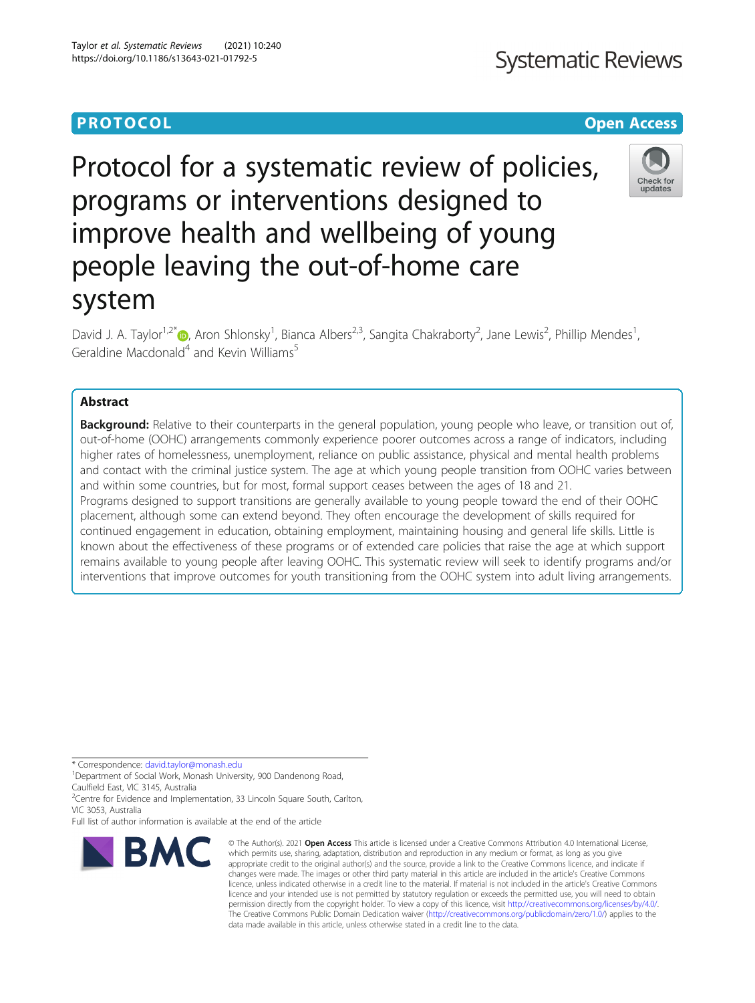# **PROTOCOL CONSUMING THE CONSUMING TEACHER CONSUMING THE CONSUMING TEACHER CONSUMING THE CONSUMING TEACHER CONSUMING**

# Protocol for a systematic review of policies, programs or interventions designed to improve health and wellbeing of young people leaving the out-of-home care system

David J. A. Taylor<sup>1[,](http://orcid.org/0000-0001-8801-7488)2\*</sup>®, Aron Shlonsky<sup>1</sup>, Bianca Albers<sup>2,3</sup>, Sangita Chakraborty<sup>2</sup>, Jane Lewis<sup>2</sup>, Phillip Mendes<sup>1</sup> , Geraldine Macdonald<sup>4</sup> and Kevin Williams<sup>5</sup>

# Abstract

**Background:** Relative to their counterparts in the general population, young people who leave, or transition out of, out-of-home (OOHC) arrangements commonly experience poorer outcomes across a range of indicators, including higher rates of homelessness, unemployment, reliance on public assistance, physical and mental health problems and contact with the criminal justice system. The age at which young people transition from OOHC varies between and within some countries, but for most, formal support ceases between the ages of 18 and 21. Programs designed to support transitions are generally available to young people toward the end of their OOHC placement, although some can extend beyond. They often encourage the development of skills required for continued engagement in education, obtaining employment, maintaining housing and general life skills. Little is known about the effectiveness of these programs or of extended care policies that raise the age at which support remains available to young people after leaving OOHC. This systematic review will seek to identify programs and/or interventions that improve outcomes for youth transitioning from the OOHC system into adult living arrangements.

\* Correspondence: [david.taylor@monash.edu](mailto:david.taylor@monash.edu) <sup>1</sup>

**BMC** 

<sup>1</sup>Department of Social Work, Monash University, 900 Dandenong Road, Caulfield East, VIC 3145, Australia

<sup>2</sup>Centre for Evidence and Implementation, 33 Lincoln Square South, Carlton, VIC 3053, Australia

Full list of author information is available at the end of the article

© The Author(s), 2021 **Open Access** This article is licensed under a Creative Commons Attribution 4.0 International License, which permits use, sharing, adaptation, distribution and reproduction in any medium or format, as long as you give appropriate credit to the original author(s) and the source, provide a link to the Creative Commons licence, and indicate if changes were made. The images or other third party material in this article are included in the article's Creative Commons licence, unless indicated otherwise in a credit line to the material. If material is not included in the article's Creative Commons licence and your intended use is not permitted by statutory regulation or exceeds the permitted use, you will need to obtain permission directly from the copyright holder. To view a copy of this licence, visit [http://creativecommons.org/licenses/by/4.0/.](http://creativecommons.org/licenses/by/4.0/) The Creative Commons Public Domain Dedication waiver [\(http://creativecommons.org/publicdomain/zero/1.0/](http://creativecommons.org/publicdomain/zero/1.0/)) applies to the data made available in this article, unless otherwise stated in a credit line to the data.



**Systematic Reviews**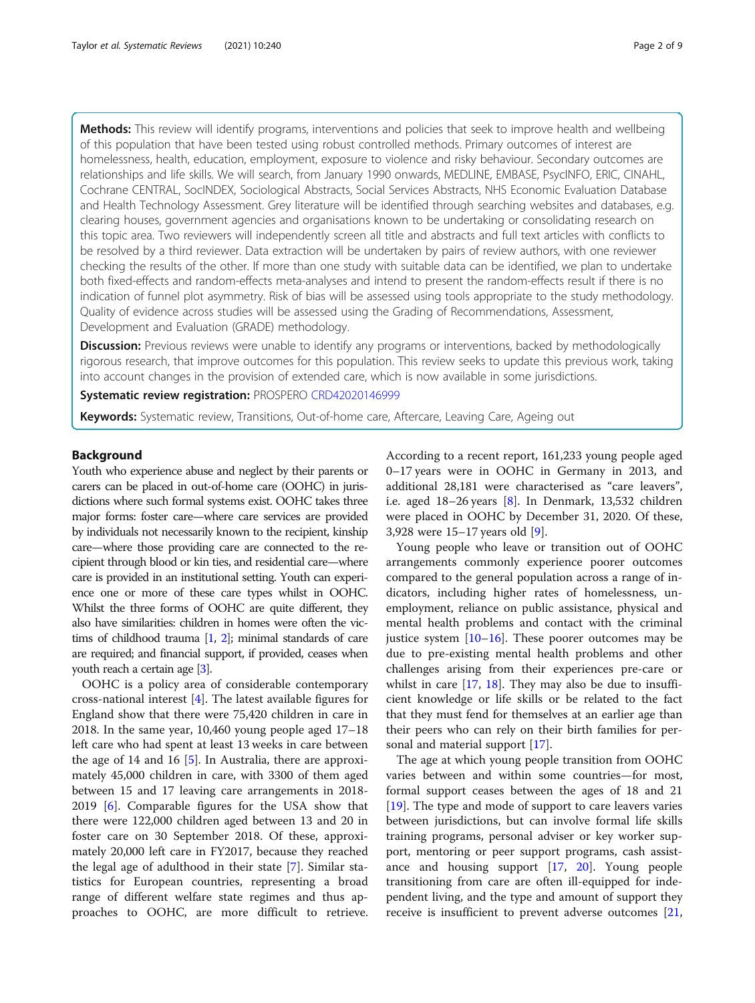Methods: This review will identify programs, interventions and policies that seek to improve health and wellbeing of this population that have been tested using robust controlled methods. Primary outcomes of interest are homelessness, health, education, employment, exposure to violence and risky behaviour. Secondary outcomes are relationships and life skills. We will search, from January 1990 onwards, MEDLINE, EMBASE, PsycINFO, ERIC, CINAHL, Cochrane CENTRAL, SocINDEX, Sociological Abstracts, Social Services Abstracts, NHS Economic Evaluation Database and Health Technology Assessment. Grey literature will be identified through searching websites and databases, e.g. clearing houses, government agencies and organisations known to be undertaking or consolidating research on this topic area. Two reviewers will independently screen all title and abstracts and full text articles with conflicts to be resolved by a third reviewer. Data extraction will be undertaken by pairs of review authors, with one reviewer checking the results of the other. If more than one study with suitable data can be identified, we plan to undertake both fixed-effects and random-effects meta-analyses and intend to present the random-effects result if there is no indication of funnel plot asymmetry. Risk of bias will be assessed using tools appropriate to the study methodology. Quality of evidence across studies will be assessed using the Grading of Recommendations, Assessment, Development and Evaluation (GRADE) methodology.

**Discussion:** Previous reviews were unable to identify any programs or interventions, backed by methodologically rigorous research, that improve outcomes for this population. This review seeks to update this previous work, taking into account changes in the provision of extended care, which is now available in some jurisdictions.

Systematic review registration: PROSPERO [CRD42020146999](https://www.crd.york.ac.uk/prospero/display_record.php?RecordID=146999)

**Keywords:** Systematic review, Transitions, Out-of-home care, Aftercare, Leaving Care, Ageing out

#### Background

Youth who experience abuse and neglect by their parents or carers can be placed in out-of-home care (OOHC) in jurisdictions where such formal systems exist. OOHC takes three major forms: foster care—where care services are provided by individuals not necessarily known to the recipient, kinship care—where those providing care are connected to the recipient through blood or kin ties, and residential care—where care is provided in an institutional setting. Youth can experience one or more of these care types whilst in OOHC. Whilst the three forms of OOHC are quite different, they also have similarities: children in homes were often the victims of childhood trauma [\[1,](#page-7-0) [2](#page-7-0)]; minimal standards of care are required; and financial support, if provided, ceases when youth reach a certain age [\[3\]](#page-7-0).

OOHC is a policy area of considerable contemporary cross-national interest [[4\]](#page-7-0). The latest available figures for England show that there were 75,420 children in care in 2018. In the same year, 10,460 young people aged 17–18 left care who had spent at least 13 weeks in care between the age of 14 and 16 [\[5](#page-7-0)]. In Australia, there are approximately 45,000 children in care, with 3300 of them aged between 15 and 17 leaving care arrangements in 2018- 2019 [[6\]](#page-7-0). Comparable figures for the USA show that there were 122,000 children aged between 13 and 20 in foster care on 30 September 2018. Of these, approximately 20,000 left care in FY2017, because they reached the legal age of adulthood in their state [\[7](#page-7-0)]. Similar statistics for European countries, representing a broad range of different welfare state regimes and thus approaches to OOHC, are more difficult to retrieve.

According to a recent report, 161,233 young people aged 0–17 years were in OOHC in Germany in 2013, and additional 28,181 were characterised as "care leavers", i.e. aged 18–26 years [\[8](#page-7-0)]. In Denmark, 13,532 children were placed in OOHC by December 31, 2020. Of these, 3,928 were 15–17 years old [[9\]](#page-7-0).

Young people who leave or transition out of OOHC arrangements commonly experience poorer outcomes compared to the general population across a range of indicators, including higher rates of homelessness, unemployment, reliance on public assistance, physical and mental health problems and contact with the criminal justice system  $[10-16]$  $[10-16]$  $[10-16]$  $[10-16]$  $[10-16]$ . These poorer outcomes may be due to pre-existing mental health problems and other challenges arising from their experiences pre-care or whilst in care [[17,](#page-7-0) [18](#page-7-0)]. They may also be due to insufficient knowledge or life skills or be related to the fact that they must fend for themselves at an earlier age than their peers who can rely on their birth families for personal and material support [[17\]](#page-7-0).

The age at which young people transition from OOHC varies between and within some countries—for most, formal support ceases between the ages of 18 and 21 [[19\]](#page-7-0). The type and mode of support to care leavers varies between jurisdictions, but can involve formal life skills training programs, personal adviser or key worker support, mentoring or peer support programs, cash assistance and housing support [\[17](#page-7-0), [20\]](#page-7-0). Young people transitioning from care are often ill-equipped for independent living, and the type and amount of support they receive is insufficient to prevent adverse outcomes [[21](#page-7-0),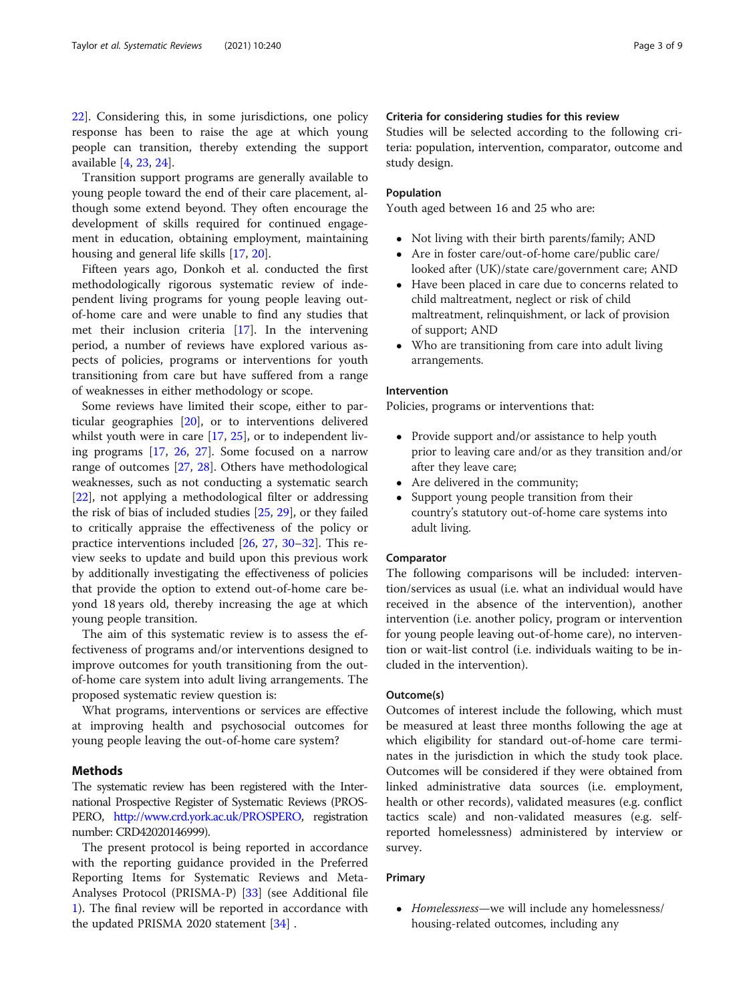[22\]](#page-7-0). Considering this, in some jurisdictions, one policy response has been to raise the age at which young people can transition, thereby extending the support available [[4,](#page-7-0) [23](#page-7-0), [24](#page-7-0)].

Transition support programs are generally available to young people toward the end of their care placement, although some extend beyond. They often encourage the development of skills required for continued engagement in education, obtaining employment, maintaining housing and general life skills [[17,](#page-7-0) [20\]](#page-7-0).

Fifteen years ago, Donkoh et al. conducted the first methodologically rigorous systematic review of independent living programs for young people leaving outof-home care and were unable to find any studies that met their inclusion criteria [\[17](#page-7-0)]. In the intervening period, a number of reviews have explored various aspects of policies, programs or interventions for youth transitioning from care but have suffered from a range of weaknesses in either methodology or scope.

Some reviews have limited their scope, either to particular geographies [\[20](#page-7-0)], or to interventions delivered whilst youth were in care [[17,](#page-7-0) [25\]](#page-7-0), or to independent living programs [[17,](#page-7-0) [26](#page-7-0), [27\]](#page-7-0). Some focused on a narrow range of outcomes [\[27](#page-7-0), [28](#page-7-0)]. Others have methodological weaknesses, such as not conducting a systematic search [[22\]](#page-7-0), not applying a methodological filter or addressing the risk of bias of included studies [[25](#page-7-0), [29](#page-7-0)], or they failed to critically appraise the effectiveness of the policy or practice interventions included [[26](#page-7-0), [27,](#page-7-0) [30](#page-7-0)–[32](#page-7-0)]. This review seeks to update and build upon this previous work by additionally investigating the effectiveness of policies that provide the option to extend out-of-home care beyond 18 years old, thereby increasing the age at which young people transition.

The aim of this systematic review is to assess the effectiveness of programs and/or interventions designed to improve outcomes for youth transitioning from the outof-home care system into adult living arrangements. The proposed systematic review question is:

What programs, interventions or services are effective at improving health and psychosocial outcomes for young people leaving the out-of-home care system?

# Methods

The systematic review has been registered with the International Prospective Register of Systematic Reviews (PROS-PERO, [http://www.crd.york.ac.uk/PROSPERO,](http://www.crd.york.ac.uk/PROSPERO) registration number: CRD42020146999).

The present protocol is being reported in accordance with the reporting guidance provided in the Preferred Reporting Items for Systematic Reviews and Meta-Analyses Protocol (PRISMA-P) [[33\]](#page-7-0) (see Additional file [1\)](#page-6-0). The final review will be reported in accordance with the updated PRISMA 2020 statement [[34\]](#page-7-0) .

# Criteria for considering studies for this review

Studies will be selected according to the following criteria: population, intervention, comparator, outcome and study design.

# Population

Youth aged between 16 and 25 who are:

- Not living with their birth parents/family; AND
- Are in foster care/out-of-home care/public care/ looked after (UK)/state care/government care; AND
- Have been placed in care due to concerns related to child maltreatment, neglect or risk of child maltreatment, relinquishment, or lack of provision of support; AND
- Who are transitioning from care into adult living arrangements.

# Intervention

Policies, programs or interventions that:

- Provide support and/or assistance to help youth prior to leaving care and/or as they transition and/or after they leave care;
- Are delivered in the community;
- Support young people transition from their country's statutory out-of-home care systems into adult living.

# Comparator

The following comparisons will be included: intervention/services as usual (i.e. what an individual would have received in the absence of the intervention), another intervention (i.e. another policy, program or intervention for young people leaving out-of-home care), no intervention or wait-list control (i.e. individuals waiting to be included in the intervention).

# Outcome(s)

Outcomes of interest include the following, which must be measured at least three months following the age at which eligibility for standard out-of-home care terminates in the jurisdiction in which the study took place. Outcomes will be considered if they were obtained from linked administrative data sources (i.e. employment, health or other records), validated measures (e.g. conflict tactics scale) and non-validated measures (e.g. selfreported homelessness) administered by interview or survey.

# Primary

• Homelessness—we will include any homelessness/ housing-related outcomes, including any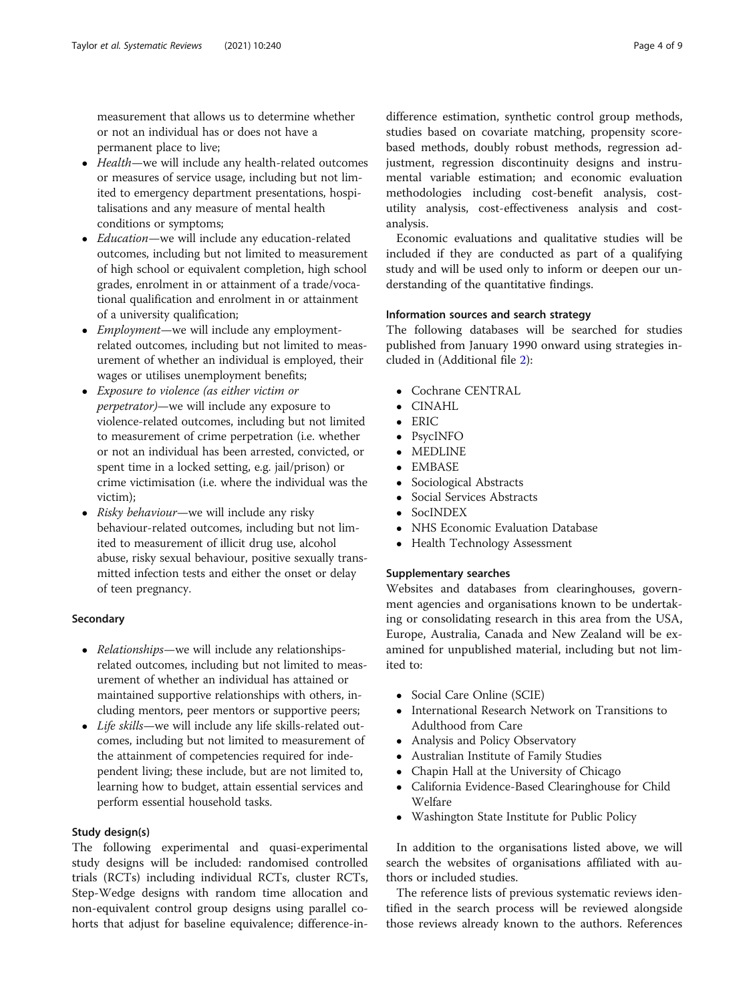measurement that allows us to determine whether or not an individual has or does not have a permanent place to live;

- Health—we will include any health-related outcomes or measures of service usage, including but not limited to emergency department presentations, hospitalisations and any measure of mental health conditions or symptoms;
- *Education*—we will include any education-related outcomes, including but not limited to measurement of high school or equivalent completion, high school grades, enrolment in or attainment of a trade/vocational qualification and enrolment in or attainment of a university qualification;
- *Employment*—we will include any employmentrelated outcomes, including but not limited to measurement of whether an individual is employed, their wages or utilises unemployment benefits;
- Exposure to violence (as either victim or perpetrator)—we will include any exposure to violence-related outcomes, including but not limited to measurement of crime perpetration (i.e. whether or not an individual has been arrested, convicted, or spent time in a locked setting, e.g. jail/prison) or crime victimisation (i.e. where the individual was the victim);
- Risky behaviour—we will include any risky behaviour-related outcomes, including but not limited to measurement of illicit drug use, alcohol abuse, risky sexual behaviour, positive sexually transmitted infection tests and either the onset or delay of teen pregnancy.

# **Secondary**

- Relationships—we will include any relationshipsrelated outcomes, including but not limited to measurement of whether an individual has attained or maintained supportive relationships with others, including mentors, peer mentors or supportive peers;
- Life skills—we will include any life skills-related outcomes, including but not limited to measurement of the attainment of competencies required for independent living; these include, but are not limited to, learning how to budget, attain essential services and perform essential household tasks.

# Study design(s)

The following experimental and quasi-experimental study designs will be included: randomised controlled trials (RCTs) including individual RCTs, cluster RCTs, Step-Wedge designs with random time allocation and non-equivalent control group designs using parallel cohorts that adjust for baseline equivalence; difference-in-

difference estimation, synthetic control group methods, studies based on covariate matching, propensity scorebased methods, doubly robust methods, regression adjustment, regression discontinuity designs and instrumental variable estimation; and economic evaluation methodologies including cost-benefit analysis, costutility analysis, cost-effectiveness analysis and costanalysis.

Economic evaluations and qualitative studies will be included if they are conducted as part of a qualifying study and will be used only to inform or deepen our understanding of the quantitative findings.

# Information sources and search strategy

The following databases will be searched for studies published from January 1990 onward using strategies included in (Additional file [2](#page-6-0)):

- Cochrane CENTRAL
- CINAHL
- ERIC
- PsycINFO
- MEDLINE
- EMBASE<br>• Sociologic
- Sociological Abstracts<br>• Social Services Abstract
- Social Services Abstracts
- SocINDEX
- NHS Economic Evaluation Database
- Health Technology Assessment

# Supplementary searches

Websites and databases from clearinghouses, government agencies and organisations known to be undertaking or consolidating research in this area from the USA, Europe, Australia, Canada and New Zealand will be examined for unpublished material, including but not limited to:

- Social Care Online (SCIE)
- International Research Network on Transitions to Adulthood from Care
- Analysis and Policy Observatory
- Australian Institute of Family Studies
- Chapin Hall at the University of Chicago
- California Evidence-Based Clearinghouse for Child Welfare
- Washington State Institute for Public Policy

In addition to the organisations listed above, we will search the websites of organisations affiliated with authors or included studies.

The reference lists of previous systematic reviews identified in the search process will be reviewed alongside those reviews already known to the authors. References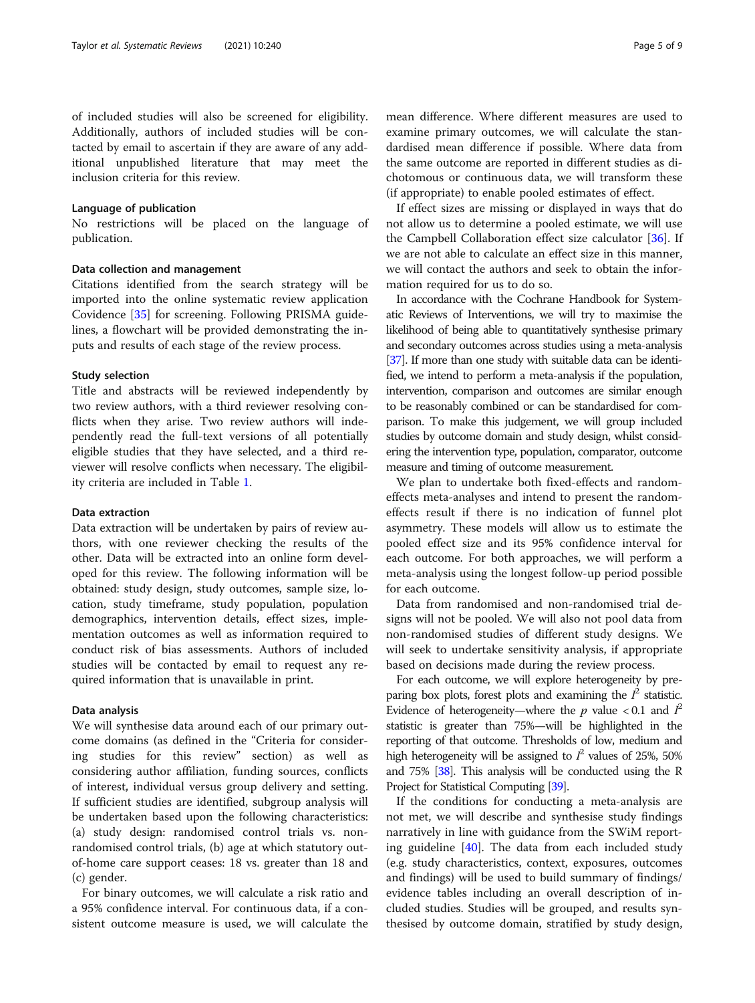of included studies will also be screened for eligibility. Additionally, authors of included studies will be contacted by email to ascertain if they are aware of any additional unpublished literature that may meet the inclusion criteria for this review.

# Language of publication

No restrictions will be placed on the language of publication.

# Data collection and management

Citations identified from the search strategy will be imported into the online systematic review application Covidence [[35\]](#page-7-0) for screening. Following PRISMA guidelines, a flowchart will be provided demonstrating the inputs and results of each stage of the review process.

# Study selection

Title and abstracts will be reviewed independently by two review authors, with a third reviewer resolving conflicts when they arise. Two review authors will independently read the full-text versions of all potentially eligible studies that they have selected, and a third reviewer will resolve conflicts when necessary. The eligibility criteria are included in Table [1.](#page-5-0)

# Data extraction

Data extraction will be undertaken by pairs of review authors, with one reviewer checking the results of the other. Data will be extracted into an online form developed for this review. The following information will be obtained: study design, study outcomes, sample size, location, study timeframe, study population, population demographics, intervention details, effect sizes, implementation outcomes as well as information required to conduct risk of bias assessments. Authors of included studies will be contacted by email to request any required information that is unavailable in print.

# Data analysis

We will synthesise data around each of our primary outcome domains (as defined in the "Criteria for considering studies for this review" section) as well as considering author affiliation, funding sources, conflicts of interest, individual versus group delivery and setting. If sufficient studies are identified, subgroup analysis will be undertaken based upon the following characteristics: (a) study design: randomised control trials vs. nonrandomised control trials, (b) age at which statutory outof-home care support ceases: 18 vs. greater than 18 and (c) gender.

For binary outcomes, we will calculate a risk ratio and a 95% confidence interval. For continuous data, if a consistent outcome measure is used, we will calculate the mean difference. Where different measures are used to examine primary outcomes, we will calculate the standardised mean difference if possible. Where data from the same outcome are reported in different studies as dichotomous or continuous data, we will transform these (if appropriate) to enable pooled estimates of effect.

If effect sizes are missing or displayed in ways that do not allow us to determine a pooled estimate, we will use the Campbell Collaboration effect size calculator [[36\]](#page-8-0). If we are not able to calculate an effect size in this manner, we will contact the authors and seek to obtain the information required for us to do so.

In accordance with the Cochrane Handbook for Systematic Reviews of Interventions, we will try to maximise the likelihood of being able to quantitatively synthesise primary and secondary outcomes across studies using a meta-analysis [[37\]](#page-8-0). If more than one study with suitable data can be identified, we intend to perform a meta-analysis if the population, intervention, comparison and outcomes are similar enough to be reasonably combined or can be standardised for comparison. To make this judgement, we will group included studies by outcome domain and study design, whilst considering the intervention type, population, comparator, outcome measure and timing of outcome measurement.

We plan to undertake both fixed-effects and randomeffects meta-analyses and intend to present the randomeffects result if there is no indication of funnel plot asymmetry. These models will allow us to estimate the pooled effect size and its 95% confidence interval for each outcome. For both approaches, we will perform a meta-analysis using the longest follow-up period possible for each outcome.

Data from randomised and non-randomised trial designs will not be pooled. We will also not pool data from non-randomised studies of different study designs. We will seek to undertake sensitivity analysis, if appropriate based on decisions made during the review process.

For each outcome, we will explore heterogeneity by preparing box plots, forest plots and examining the  $I^2$  statistic. Evidence of heterogeneity—where the  $p$  value < 0.1 and  $I^2$ statistic is greater than 75%—will be highlighted in the reporting of that outcome. Thresholds of low, medium and high heterogeneity will be assigned to  $I^2$  values of 25%, 50% and 75% [[38\]](#page-8-0). This analysis will be conducted using the R Project for Statistical Computing [\[39](#page-8-0)].

If the conditions for conducting a meta-analysis are not met, we will describe and synthesise study findings narratively in line with guidance from the SWiM reporting guideline [[40\]](#page-8-0). The data from each included study (e.g. study characteristics, context, exposures, outcomes and findings) will be used to build summary of findings/ evidence tables including an overall description of included studies. Studies will be grouped, and results synthesised by outcome domain, stratified by study design,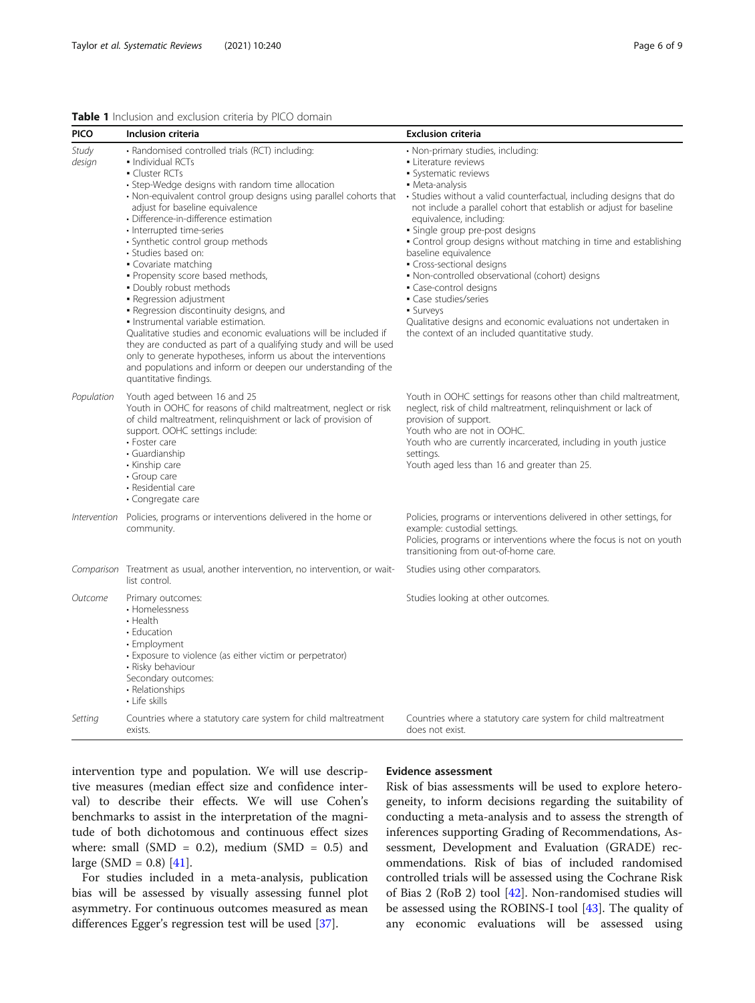# <span id="page-5-0"></span>Table 1 Inclusion and exclusion criteria by PICO domain

| <b>PICO</b>     | Inclusion criteria                                                                                                                                                                                                                                                                                                                                                                                                                                                                                                                                                                                                                                                                                                                                                                                                                                                                               | <b>Exclusion criteria</b>                                                                                                                                                                                                                                                                                                                                                                                                                                                                                                                                                                                                                                                         |
|-----------------|--------------------------------------------------------------------------------------------------------------------------------------------------------------------------------------------------------------------------------------------------------------------------------------------------------------------------------------------------------------------------------------------------------------------------------------------------------------------------------------------------------------------------------------------------------------------------------------------------------------------------------------------------------------------------------------------------------------------------------------------------------------------------------------------------------------------------------------------------------------------------------------------------|-----------------------------------------------------------------------------------------------------------------------------------------------------------------------------------------------------------------------------------------------------------------------------------------------------------------------------------------------------------------------------------------------------------------------------------------------------------------------------------------------------------------------------------------------------------------------------------------------------------------------------------------------------------------------------------|
| Study<br>design | • Randomised controlled trials (RCT) including:<br>• Individual RCTs<br>• Cluster RCTs<br>• Step-Wedge designs with random time allocation<br>· Non-equivalent control group designs using parallel cohorts that<br>adjust for baseline equivalence<br>· Difference-in-difference estimation<br>· Interrupted time-series<br>• Synthetic control group methods<br>· Studies based on:<br>• Covariate matching<br>. Propensity score based methods,<br>. Doubly robust methods<br>- Regression adjustment<br>· Regression discontinuity designs, and<br>· Instrumental variable estimation.<br>Qualitative studies and economic evaluations will be included if<br>they are conducted as part of a qualifying study and will be used<br>only to generate hypotheses, inform us about the interventions<br>and populations and inform or deepen our understanding of the<br>quantitative findings. | · Non-primary studies, including:<br>• Literature reviews<br>· Systematic reviews<br>• Meta-analysis<br>• Studies without a valid counterfactual, including designs that do<br>not include a parallel cohort that establish or adjust for baseline<br>equivalence, including:<br>· Single group pre-post designs<br>. Control group designs without matching in time and establishing<br>baseline equivalence<br>• Cross-sectional designs<br>· Non-controlled observational (cohort) designs<br>• Case-control designs<br>• Case studies/series<br>• Surveys<br>Qualitative designs and economic evaluations not undertaken in<br>the context of an included quantitative study. |
| Population      | Youth aged between 16 and 25<br>Youth in OOHC for reasons of child maltreatment, neglect or risk<br>of child maltreatment, relinquishment or lack of provision of<br>support. OOHC settings include:<br>• Foster care<br>• Guardianship<br>• Kinship care<br>• Group care<br>• Residential care<br>• Congregate care                                                                                                                                                                                                                                                                                                                                                                                                                                                                                                                                                                             | Youth in OOHC settings for reasons other than child maltreatment,<br>neglect, risk of child maltreatment, relinguishment or lack of<br>provision of support.<br>Youth who are not in OOHC.<br>Youth who are currently incarcerated, including in youth justice<br>settings.<br>Youth aged less than 16 and greater than 25.                                                                                                                                                                                                                                                                                                                                                       |
| Intervention    | Policies, programs or interventions delivered in the home or<br>community.                                                                                                                                                                                                                                                                                                                                                                                                                                                                                                                                                                                                                                                                                                                                                                                                                       | Policies, programs or interventions delivered in other settings, for<br>example: custodial settings.<br>Policies, programs or interventions where the focus is not on youth<br>transitioning from out-of-home care.                                                                                                                                                                                                                                                                                                                                                                                                                                                               |
|                 | Comparison Treatment as usual, another intervention, no intervention, or wait-<br>list control.                                                                                                                                                                                                                                                                                                                                                                                                                                                                                                                                                                                                                                                                                                                                                                                                  | Studies using other comparators.                                                                                                                                                                                                                                                                                                                                                                                                                                                                                                                                                                                                                                                  |
| Outcome         | Primary outcomes:<br>• Homelessness<br>$\cdot$ Health<br>• Education<br>• Employment<br>• Exposure to violence (as either victim or perpetrator)<br>• Risky behaviour<br>Secondary outcomes:<br>• Relationships<br>• Life skills                                                                                                                                                                                                                                                                                                                                                                                                                                                                                                                                                                                                                                                                 | Studies looking at other outcomes.                                                                                                                                                                                                                                                                                                                                                                                                                                                                                                                                                                                                                                                |
| Setting         | Countries where a statutory care system for child maltreatment<br>exists.                                                                                                                                                                                                                                                                                                                                                                                                                                                                                                                                                                                                                                                                                                                                                                                                                        | Countries where a statutory care system for child maltreatment<br>does not exist.                                                                                                                                                                                                                                                                                                                                                                                                                                                                                                                                                                                                 |

intervention type and population. We will use descriptive measures (median effect size and confidence interval) to describe their effects. We will use Cohen's benchmarks to assist in the interpretation of the magnitude of both dichotomous and continuous effect sizes where: small (SMD = 0.2), medium (SMD = 0.5) and large (SMD =  $0.8$ ) [[41](#page-8-0)].

For studies included in a meta-analysis, publication bias will be assessed by visually assessing funnel plot asymmetry. For continuous outcomes measured as mean differences Egger's regression test will be used [[37\]](#page-8-0).

# Evidence assessment

Risk of bias assessments will be used to explore heterogeneity, to inform decisions regarding the suitability of conducting a meta-analysis and to assess the strength of inferences supporting Grading of Recommendations, Assessment, Development and Evaluation (GRADE) recommendations. Risk of bias of included randomised controlled trials will be assessed using the Cochrane Risk of Bias 2 (RoB 2) tool [\[42](#page-8-0)]. Non-randomised studies will be assessed using the ROBINS-I tool [\[43](#page-8-0)]. The quality of any economic evaluations will be assessed using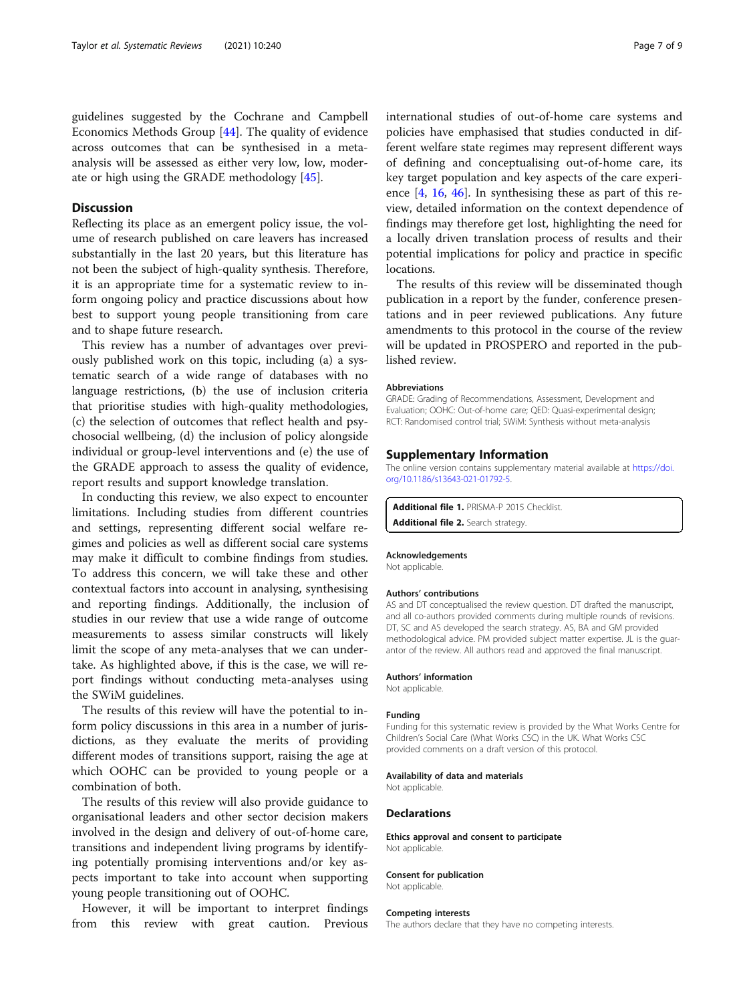<span id="page-6-0"></span>guidelines suggested by the Cochrane and Campbell Economics Methods Group [\[44\]](#page-8-0). The quality of evidence across outcomes that can be synthesised in a metaanalysis will be assessed as either very low, low, moderate or high using the GRADE methodology [[45\]](#page-8-0).

# **Discussion**

Reflecting its place as an emergent policy issue, the volume of research published on care leavers has increased substantially in the last 20 years, but this literature has not been the subject of high-quality synthesis. Therefore, it is an appropriate time for a systematic review to inform ongoing policy and practice discussions about how best to support young people transitioning from care and to shape future research.

This review has a number of advantages over previously published work on this topic, including (a) a systematic search of a wide range of databases with no language restrictions, (b) the use of inclusion criteria that prioritise studies with high-quality methodologies, (c) the selection of outcomes that reflect health and psychosocial wellbeing, (d) the inclusion of policy alongside individual or group-level interventions and (e) the use of the GRADE approach to assess the quality of evidence, report results and support knowledge translation.

In conducting this review, we also expect to encounter limitations. Including studies from different countries and settings, representing different social welfare regimes and policies as well as different social care systems may make it difficult to combine findings from studies. To address this concern, we will take these and other contextual factors into account in analysing, synthesising and reporting findings. Additionally, the inclusion of studies in our review that use a wide range of outcome measurements to assess similar constructs will likely limit the scope of any meta-analyses that we can undertake. As highlighted above, if this is the case, we will report findings without conducting meta-analyses using the SWiM guidelines.

The results of this review will have the potential to inform policy discussions in this area in a number of jurisdictions, as they evaluate the merits of providing different modes of transitions support, raising the age at which OOHC can be provided to young people or a combination of both.

The results of this review will also provide guidance to organisational leaders and other sector decision makers involved in the design and delivery of out-of-home care, transitions and independent living programs by identifying potentially promising interventions and/or key aspects important to take into account when supporting young people transitioning out of OOHC.

However, it will be important to interpret findings from this review with great caution. Previous international studies of out-of-home care systems and policies have emphasised that studies conducted in different welfare state regimes may represent different ways of defining and conceptualising out-of-home care, its key target population and key aspects of the care experience [\[4](#page-7-0), [16,](#page-7-0) [46](#page-8-0)]. In synthesising these as part of this review, detailed information on the context dependence of findings may therefore get lost, highlighting the need for a locally driven translation process of results and their potential implications for policy and practice in specific locations.

The results of this review will be disseminated though publication in a report by the funder, conference presentations and in peer reviewed publications. Any future amendments to this protocol in the course of the review will be updated in PROSPERO and reported in the published review.

#### Abbreviations

GRADE: Grading of Recommendations, Assessment, Development and Evaluation; OOHC: Out-of-home care; QED: Quasi-experimental design; RCT: Randomised control trial; SWiM: Synthesis without meta-analysis

# Supplementary Information

The online version contains supplementary material available at [https://doi.](https://doi.org/10.1186/s13643-021-01792-5) [org/10.1186/s13643-021-01792-5.](https://doi.org/10.1186/s13643-021-01792-5)

Additional file 1. PRISMA-P 2015 Checklist. Additional file 2. Search strategy.

#### Acknowledgements

Not applicable.

#### Authors' contributions

AS and DT conceptualised the review question. DT drafted the manuscript, and all co-authors provided comments during multiple rounds of revisions. DT, SC and AS developed the search strategy. AS, BA and GM provided methodological advice. PM provided subject matter expertise. JL is the guarantor of the review. All authors read and approved the final manuscript.

#### Authors' information

Not applicable.

# Funding

Funding for this systematic review is provided by the What Works Centre for Children's Social Care (What Works CSC) in the UK. What Works CSC provided comments on a draft version of this protocol.

### Availability of data and materials

Not applicable.

#### Declarations

Ethics approval and consent to participate Not applicable.

#### Consent for publication

Not applicable.

#### Competing interests

The authors declare that they have no competing interests.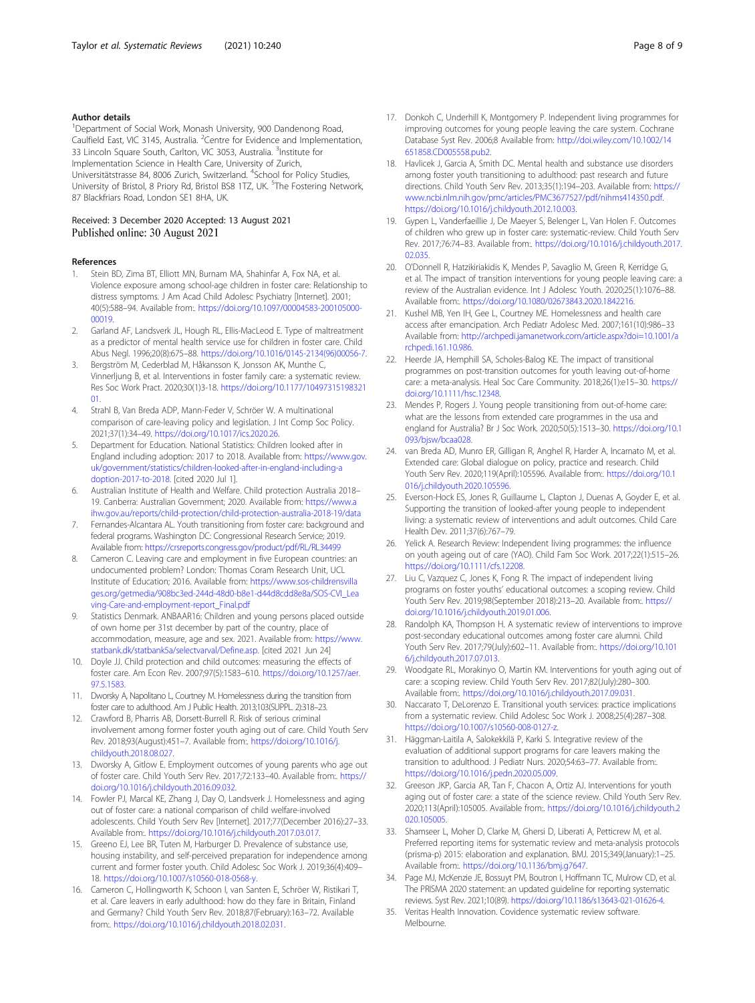# <span id="page-7-0"></span>Author details

<sup>1</sup>Department of Social Work, Monash University, 900 Dandenong Road, Caulfield East, VIC 3145, Australia. <sup>2</sup>Centre for Evidence and Implementation, 33 Lincoln Square South, Carlton, VIC 3053, Australia. <sup>3</sup>Institute for Implementation Science in Health Care, University of Zurich, Universitätstrasse 84, 8006 Zurich, Switzerland. <sup>4</sup>School for Policy Studies, University of Bristol, 8 Priory Rd, Bristol BS8 1TZ, UK. <sup>5</sup>The Fostering Network, 87 Blackfriars Road, London SE1 8HA, UK.

# Received: 3 December 2020 Accepted: 13 August 2021 Published online: 30 August 2021

# **References**

- Stein BD, Zima BT, Elliott MN, Burnam MA, Shahinfar A, Fox NA, et al. Violence exposure among school-age children in foster care: Relationship to distress symptoms. J Am Acad Child Adolesc Psychiatry [Internet]. 2001; 40(5):588–94. Available from:. [https://doi.org/10.1097/00004583-200105000-](https://doi.org/10.1097/00004583-200105000-00019) [00019.](https://doi.org/10.1097/00004583-200105000-00019)
- 2. Garland AF, Landsverk JL, Hough RL, Ellis-MacLeod E. Type of maltreatment as a predictor of mental health service use for children in foster care. Child Abus Negl. 1996;20(8):675–88. [https://doi.org/10.1016/0145-2134\(96\)00056-7](https://doi.org/10.1016/0145-2134(96)00056-7).
- Bergström M, Cederblad M, Håkansson K, Jonsson AK, Munthe C, Vinnerljung B, et al. Interventions in foster family care: a systematic review. Res Soc Work Pract. 2020;30(1)3-18. [https://doi.org/10.1177/10497315198321](https://doi.org/10.1177/1049731519832101) [01.](https://doi.org/10.1177/1049731519832101)
- 4. Strahl B, Van Breda ADP, Mann-Feder V, Schröer W. A multinational comparison of care-leaving policy and legislation. J Int Comp Soc Policy. 2021;37(1):34–49. <https://doi.org/10.1017/ics.2020.26>.
- 5. Department for Education. National Statistics: Children looked after in England including adoption: 2017 to 2018. Available from: [https://www.gov.](https://www.gov.uk/government/statistics/children-looked-after-in-england-including-adoption-2017-to-2018) [uk/government/statistics/children-looked-after-in-england-including-a](https://www.gov.uk/government/statistics/children-looked-after-in-england-including-adoption-2017-to-2018) [doption-2017-to-2018.](https://www.gov.uk/government/statistics/children-looked-after-in-england-including-adoption-2017-to-2018) [cited 2020 Jul 1].
- 6. Australian Institute of Health and Welfare. Child protection Australia 2018– 19. Canberra: Australian Government; 2020. Available from: [https://www.a](https://www.aihw.gov.au/reports/child-protection/child-protection-australia-2018-19/data) [ihw.gov.au/reports/child-protection/child-protection-australia-2018-19/data](https://www.aihw.gov.au/reports/child-protection/child-protection-australia-2018-19/data)
- 7. Fernandes-Alcantara AL. Youth transitioning from foster care: background and federal programs. Washington DC: Congressional Research Service; 2019. Available from: <https://crsreports.congress.gov/product/pdf/RL/RL34499>
- Cameron C. Leaving care and employment in five European countries: an undocumented problem? London: Thomas Coram Research Unit, UCL Institute of Education; 2016. Available from: [https://www.sos-childrensvilla](https://www.sos-childrensvillages.org/getmedia/908bc3ed-244d-48d0-b8e1-d44d8cdd8e8a/SOS-CVI_Leaving-Care-and-employment-report_Final.pdf) [ges.org/getmedia/908bc3ed-244d-48d0-b8e1-d44d8cdd8e8a/SOS-CVI\\_Lea](https://www.sos-childrensvillages.org/getmedia/908bc3ed-244d-48d0-b8e1-d44d8cdd8e8a/SOS-CVI_Leaving-Care-and-employment-report_Final.pdf) [ving-Care-and-employment-report\\_Final.pdf](https://www.sos-childrensvillages.org/getmedia/908bc3ed-244d-48d0-b8e1-d44d8cdd8e8a/SOS-CVI_Leaving-Care-and-employment-report_Final.pdf)
- 9. Statistics Denmark. ANBAAR16: Children and young persons placed outside of own home per 31st december by part of the country, place of accommodation, measure, age and sex. 2021. Available from: [https://www.](https://www.statbank.dk/statbank5a/selectvarval/Define.asp) [statbank.dk/statbank5a/selectvarval/Define.asp](https://www.statbank.dk/statbank5a/selectvarval/Define.asp). [cited 2021 Jun 24]
- 10. Doyle JJ. Child protection and child outcomes: measuring the effects of foster care. Am Econ Rev. 2007;97(5):1583–610. [https://doi.org/10.1257/aer.](https://doi.org/10.1257/aer.97.5.1583) [97.5.1583.](https://doi.org/10.1257/aer.97.5.1583)
- 11. Dworsky A, Napolitano L, Courtney M. Homelessness during the transition from foster care to adulthood. Am J Public Health. 2013;103(SUPPL. 2):318–23.
- 12. Crawford B, Pharris AB, Dorsett-Burrell R. Risk of serious criminal involvement among former foster youth aging out of care. Child Youth Serv Rev. 2018;93(August):451–7. Available from:. [https://doi.org/10.1016/j.](https://doi.org/10.1016/j.childyouth.2018.08.027) [childyouth.2018.08.027](https://doi.org/10.1016/j.childyouth.2018.08.027).
- 13. Dworsky A, Gitlow E. Employment outcomes of young parents who age out of foster care. Child Youth Serv Rev. 2017;72:133–40. Available from:. [https://](https://doi.org/10.1016/j.childyouth.2016.09.032) [doi.org/10.1016/j.childyouth.2016.09.032](https://doi.org/10.1016/j.childyouth.2016.09.032).
- 14. Fowler PJ, Marcal KE, Zhang J, Day O, Landsverk J. Homelessness and aging out of foster care: a national comparison of child welfare-involved adolescents. Child Youth Serv Rev [Internet]. 2017;77(December 2016):27–33. Available from:. [https://doi.org/10.1016/j.childyouth.2017.03.017.](https://doi.org/10.1016/j.childyouth.2017.03.017)
- 15. Greeno EJ, Lee BR, Tuten M, Harburger D. Prevalence of substance use, housing instability, and self-perceived preparation for independence among current and former foster youth. Child Adolesc Soc Work J. 2019;36(4):409– 18. [https://doi.org/10.1007/s10560-018-0568-y.](https://doi.org/10.1007/s10560-018-0568-y)
- 16. Cameron C, Hollingworth K, Schoon I, van Santen E, Schröer W, Ristikari T, et al. Care leavers in early adulthood: how do they fare in Britain, Finland and Germany? Child Youth Serv Rev. 2018;87(February):163–72. Available from:. <https://doi.org/10.1016/j.childyouth.2018.02.031>.
- 17. Donkoh C, Underhill K, Montgomery P. Independent living programmes for improving outcomes for young people leaving the care system. Cochrane Database Syst Rev. 2006;8 Available from: [http://doi.wiley.com/10.1002/14](http://doi.wiley.com/10.1002/14651858.CD005558.pub2) [651858.CD005558.pub2](http://doi.wiley.com/10.1002/14651858.CD005558.pub2).
- 18. Havlicek J, Garcia A, Smith DC. Mental health and substance use disorders among foster youth transitioning to adulthood: past research and future directions. Child Youth Serv Rev. 2013;35(1):194–203. Available from: [https://](https://www.ncbi.nlm.nih.gov/pmc/articles/PMC3677527/pdf/nihms414350.pdf) [www.ncbi.nlm.nih.gov/pmc/articles/PMC3677527/pdf/nihms414350.pdf.](https://www.ncbi.nlm.nih.gov/pmc/articles/PMC3677527/pdf/nihms414350.pdf) <https://doi.org/10.1016/j.childyouth.2012.10.003>.
- 19. Gypen L, Vanderfaeillie J, De Maeyer S, Belenger L, Van Holen F. Outcomes of children who grew up in foster care: systematic-review. Child Youth Serv Rev. 2017;76:74–83. Available from:. [https://doi.org/10.1016/j.childyouth.2017.](https://doi.org/10.1016/j.childyouth.2017.02.035) [02.035](https://doi.org/10.1016/j.childyouth.2017.02.035).
- 20. O'Donnell R, Hatzikiriakidis K, Mendes P, Savaglio M, Green R, Kerridge G, et al. The impact of transition interventions for young people leaving care: a review of the Australian evidence. Int J Adolesc Youth. 2020;25(1):1076–88. Available from:. [https://doi.org/10.1080/02673843.2020.1842216.](https://doi.org/10.1080/02673843.2020.1842216)
- 21. Kushel MB, Yen IH, Gee L, Courtney ME. Homelessness and health care access after emancipation. Arch Pediatr Adolesc Med. 2007;161(10):986–33 Available from: [http://archpedi.jamanetwork.com/article.aspx?doi=10.1001/a](http://archpedi.jamanetwork.com/article.aspx?doi=10.1001/archpedi.161.10.986) [rchpedi.161.10.986](http://archpedi.jamanetwork.com/article.aspx?doi=10.1001/archpedi.161.10.986).
- 22. Heerde JA, Hemphill SA, Scholes-Balog KE. The impact of transitional programmes on post-transition outcomes for youth leaving out-of-home care: a meta-analysis. Heal Soc Care Community. 2018;26(1):e15–30. [https://](https://doi.org/10.1111/hsc.12348) [doi.org/10.1111/hsc.12348](https://doi.org/10.1111/hsc.12348).
- 23. Mendes P, Rogers J. Young people transitioning from out-of-home care: what are the lessons from extended care programmes in the usa and england for Australia? Br J Soc Work. 2020;50(5):1513–30. [https://doi.org/10.1](https://doi.org/10.1093/bjsw/bcaa028) [093/bjsw/bcaa028.](https://doi.org/10.1093/bjsw/bcaa028)
- 24. van Breda AD, Munro ER, Gilligan R, Anghel R, Harder A, Incarnato M, et al. Extended care: Global dialogue on policy, practice and research. Child Youth Serv Rev. 2020;119(April):105596. Available from:. [https://doi.org/10.1](https://doi.org/10.1016/j.childyouth.2020.105596) [016/j.childyouth.2020.105596.](https://doi.org/10.1016/j.childyouth.2020.105596)
- 25. Everson-Hock ES, Jones R, Guillaume L, Clapton J, Duenas A, Goyder E, et al. Supporting the transition of looked-after young people to independent living: a systematic review of interventions and adult outcomes. Child Care Health Dev. 2011;37(6):767–79.
- 26. Yelick A. Research Review: Independent living programmes: the influence on youth ageing out of care (YAO). Child Fam Soc Work. 2017;22(1):515–26. [https://doi.org/10.1111/cfs.12208.](https://doi.org/10.1111/cfs.12208)
- 27. Liu C, Vazquez C, Jones K, Fong R. The impact of independent living programs on foster youths' educational outcomes: a scoping review. Child Youth Serv Rev. 2019;98(September 2018):213–20. Available from:. [https://](https://doi.org/10.1016/j.childyouth.2019.01.006) [doi.org/10.1016/j.childyouth.2019.01.006.](https://doi.org/10.1016/j.childyouth.2019.01.006)
- 28. Randolph KA, Thompson H. A systematic review of interventions to improve post-secondary educational outcomes among foster care alumni. Child Youth Serv Rev. 2017;79(July):602–11. Available from:. [https://doi.org/10.101](https://doi.org/10.1016/j.childyouth.2017.07.013) [6/j.childyouth.2017.07.013.](https://doi.org/10.1016/j.childyouth.2017.07.013)
- 29. Woodgate RL, Morakinyo O, Martin KM. Interventions for youth aging out of care: a scoping review. Child Youth Serv Rev. 2017;82(July):280–300. Available from:. [https://doi.org/10.1016/j.childyouth.2017.09.031.](https://doi.org/10.1016/j.childyouth.2017.09.031)
- 30. Naccarato T, DeLorenzo E. Transitional youth services: practice implications from a systematic review. Child Adolesc Soc Work J. 2008;25(4):287–308. [https://doi.org/10.1007/s10560-008-0127-z.](https://doi.org/10.1007/s10560-008-0127-z)
- 31. Häggman-Laitila A, Salokekkilä P, Karki S. Integrative review of the evaluation of additional support programs for care leavers making the transition to adulthood. J Pediatr Nurs. 2020;54:63–77. Available from:. [https://doi.org/10.1016/j.pedn.2020.05.009.](https://doi.org/10.1016/j.pedn.2020.05.009)
- 32. Greeson JKP, Garcia AR, Tan F, Chacon A, Ortiz AJ. Interventions for youth aging out of foster care: a state of the science review. Child Youth Serv Rev. 2020;113(April):105005. Available from:. [https://doi.org/10.1016/j.childyouth.2](https://doi.org/10.1016/j.childyouth.2020.105005) [020.105005.](https://doi.org/10.1016/j.childyouth.2020.105005)
- 33. Shamseer L, Moher D, Clarke M, Ghersi D, Liberati A, Petticrew M, et al. Preferred reporting items for systematic review and meta-analysis protocols (prisma-p) 2015: elaboration and explanation. BMJ. 2015;349(January):1–25. Available from:. <https://doi.org/10.1136/bmj.g7647>.
- 34. Page MJ, McKenzie JE, Bossuyt PM, Boutron I, Hoffmann TC, Mulrow CD, et al. The PRISMA 2020 statement: an updated guideline for reporting systematic reviews. Syst Rev. 2021;10(89). <https://doi.org/10.1186/s13643-021-01626-4>.
- 35. Veritas Health Innovation. Covidence systematic review software. Melbourne.